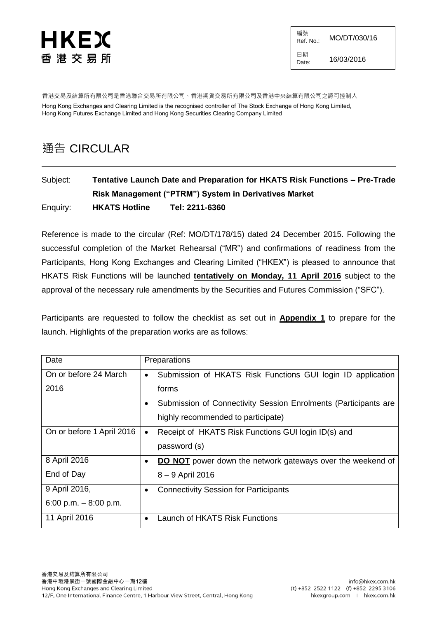編號  $R$ ef. No.: MO/DT/030/16 日期<br>Date: 16/03/2016

香港交易及結算所有限公司是香港聯合交易所有限公司、香港期貨交易所有限公司及香港中央結算有限公司之認可控制人 Hong Kong Exchanges and Clearing Limited is the recognised controller of The Stock Exchange of Hong Kong Limited, Hong Kong Futures Exchange Limited and Hong Kong Securities Clearing Company Limited

# 通告 CIRCULAR

# Subject: **Tentative Launch Date and Preparation for HKATS Risk Functions – Pre-Trade Risk Management ("PTRM") System in Derivatives Market**  Enquiry: **HKATS Hotline Tel: 2211-6360**

Reference is made to the circular (Ref: MO/DT/178/15) dated 24 December 2015. Following the successful completion of the Market Rehearsal ("MR") and confirmations of readiness from the Participants, Hong Kong Exchanges and Clearing Limited ("HKEX") is pleased to announce that HKATS Risk Functions will be launched **tentatively on Monday, 11 April 2016** subject to the approval of the necessary rule amendments by the Securities and Futures Commission ("SFC").

Participants are requested to follow the checklist as set out in **Appendix 1** to prepare for the launch. Highlights of the preparation works are as follows:

| Date                      | Preparations                                                             |
|---------------------------|--------------------------------------------------------------------------|
| On or before 24 March     | Submission of HKATS Risk Functions GUI login ID application<br>$\bullet$ |
| 2016                      | forms                                                                    |
|                           | Submission of Connectivity Session Enrolments (Participants are<br>٠     |
|                           | highly recommended to participate)                                       |
| On or before 1 April 2016 | Receipt of HKATS Risk Functions GUI login ID(s) and<br>$\bullet$         |
|                           | password (s)                                                             |
| 8 April 2016              | <b>DO NOT</b> power down the network gateways over the weekend of        |
| End of Day                | 8 - 9 April 2016                                                         |
| 9 April 2016,             | <b>Connectivity Session for Participants</b><br>$\bullet$                |
| 6:00 p.m. $-8:00$ p.m.    |                                                                          |
| 11 April 2016             | Launch of HKATS Risk Functions                                           |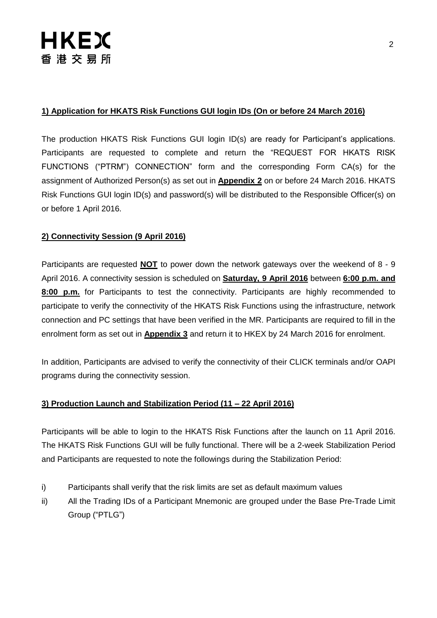# **1) Application for HKATS Risk Functions GUI login IDs (On or before 24 March 2016)**

The production HKATS Risk Functions GUI login ID(s) are ready for Participant's applications. Participants are requested to complete and return the "REQUEST FOR HKATS RISK FUNCTIONS ("PTRM") CONNECTION" form and the corresponding Form CA(s) for the assignment of Authorized Person(s) as set out in **Appendix 2** on or before 24 March 2016. HKATS Risk Functions GUI login ID(s) and password(s) will be distributed to the Responsible Officer(s) on or before 1 April 2016.

## **2) Connectivity Session (9 April 2016)**

Participants are requested **NOT** to power down the network gateways over the weekend of 8 - 9 April 2016. A connectivity session is scheduled on **Saturday, 9 April 2016** between **6:00 p.m. and 8:00 p.m.** for Participants to test the connectivity. Participants are highly recommended to participate to verify the connectivity of the HKATS Risk Functions using the infrastructure, network connection and PC settings that have been verified in the MR. Participants are required to fill in the enrolment form as set out in **Appendix 3** and return it to HKEX by 24 March 2016 for enrolment.

In addition, Participants are advised to verify the connectivity of their CLICK terminals and/or OAPI programs during the connectivity session.

## **3) Production Launch and Stabilization Period (11 – 22 April 2016)**

Participants will be able to login to the HKATS Risk Functions after the launch on 11 April 2016. The HKATS Risk Functions GUI will be fully functional. There will be a 2-week Stabilization Period and Participants are requested to note the followings during the Stabilization Period:

- i) Participants shall verify that the risk limits are set as default maximum values
- ii) All the Trading IDs of a Participant Mnemonic are grouped under the Base Pre-Trade Limit Group ("PTLG")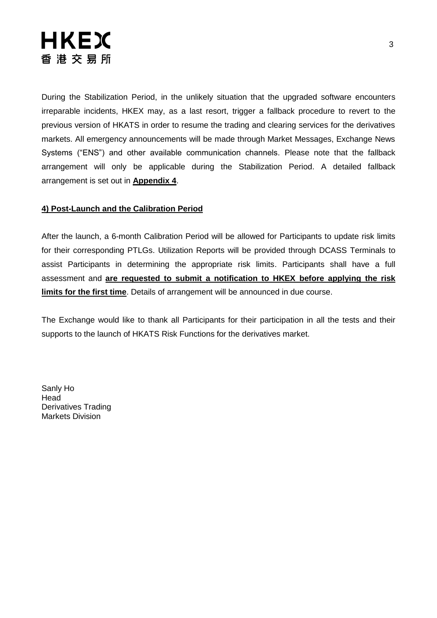During the Stabilization Period, in the unlikely situation that the upgraded software encounters irreparable incidents, HKEX may, as a last resort, trigger a fallback procedure to revert to the previous version of HKATS in order to resume the trading and clearing services for the derivatives markets. All emergency announcements will be made through Market Messages, Exchange News Systems ("ENS") and other available communication channels. Please note that the fallback arrangement will only be applicable during the Stabilization Period. A detailed fallback arrangement is set out in **Appendix 4**.

# **4) Post-Launch and the Calibration Period**

After the launch, a 6-month Calibration Period will be allowed for Participants to update risk limits for their corresponding PTLGs. Utilization Reports will be provided through DCASS Terminals to assist Participants in determining the appropriate risk limits. Participants shall have a full assessment and **are requested to submit a notification to HKEX before applying the risk limits for the first time**. Details of arrangement will be announced in due course.

The Exchange would like to thank all Participants for their participation in all the tests and their supports to the launch of HKATS Risk Functions for the derivatives market.

Sanly Ho Head Derivatives Trading Markets Division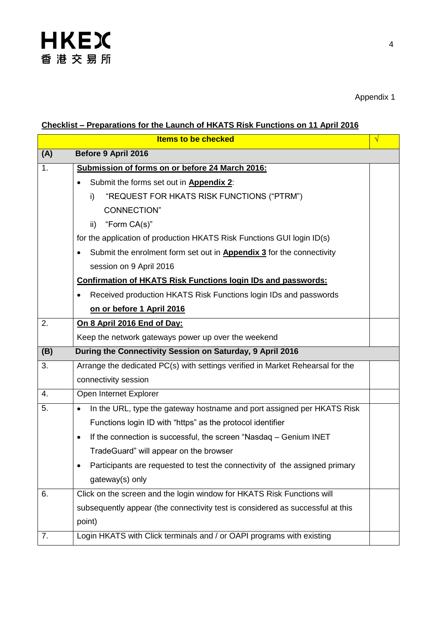# **Checklist – Preparations for the Launch of HKATS Risk Functions on 11 April 2016**

|     | <b>Items to be checked</b>                                                          | √ |
|-----|-------------------------------------------------------------------------------------|---|
| (A) | Before 9 April 2016                                                                 |   |
| 1.  | Submission of forms on or before 24 March 2016:                                     |   |
|     | Submit the forms set out in Appendix 2:                                             |   |
|     | "REQUEST FOR HKATS RISK FUNCTIONS ("PTRM")<br>i)                                    |   |
|     | <b>CONNECTION"</b>                                                                  |   |
|     | "Form CA(s)"<br>ii)                                                                 |   |
|     | for the application of production HKATS Risk Functions GUI login ID(s)              |   |
|     | Submit the enrolment form set out in <b>Appendix 3</b> for the connectivity         |   |
|     | session on 9 April 2016                                                             |   |
|     | <b>Confirmation of HKATS Risk Functions login IDs and passwords:</b>                |   |
|     | Received production HKATS Risk Functions login IDs and passwords                    |   |
|     | on or before 1 April 2016                                                           |   |
| 2.  | On 8 April 2016 End of Day:                                                         |   |
|     | Keep the network gateways power up over the weekend                                 |   |
| (B) | During the Connectivity Session on Saturday, 9 April 2016                           |   |
| 3.  | Arrange the dedicated PC(s) with settings verified in Market Rehearsal for the      |   |
|     | connectivity session                                                                |   |
| 4.  | Open Internet Explorer                                                              |   |
| 5.  | In the URL, type the gateway hostname and port assigned per HKATS Risk<br>$\bullet$ |   |
|     | Functions login ID with "https" as the protocol identifier                          |   |
|     | If the connection is successful, the screen "Nasdaq - Genium INET<br>$\bullet$      |   |
|     | TradeGuard" will appear on the browser                                              |   |
|     | Participants are requested to test the connectivity of the assigned primary         |   |
|     | gateway(s) only                                                                     |   |
| 6.  | Click on the screen and the login window for HKATS Risk Functions will              |   |
|     | subsequently appear (the connectivity test is considered as successful at this      |   |
|     | point)                                                                              |   |
| 7.  | Login HKATS with Click terminals and / or OAPI programs with existing               |   |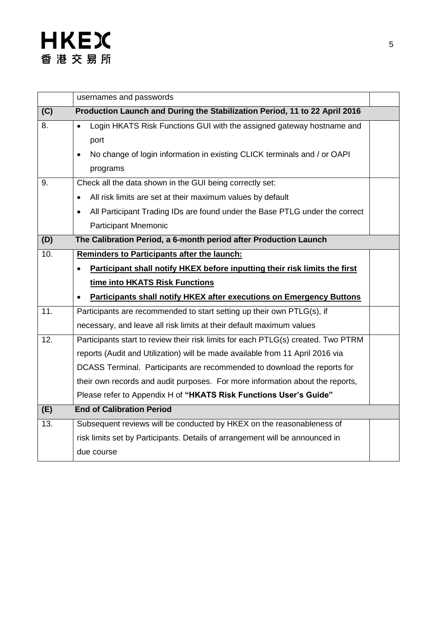|                   | usernames and passwords                                                                  |  |
|-------------------|------------------------------------------------------------------------------------------|--|
| (C)               | Production Launch and During the Stabilization Period, 11 to 22 April 2016               |  |
| 8.                | Login HKATS Risk Functions GUI with the assigned gateway hostname and                    |  |
|                   | port                                                                                     |  |
|                   | No change of login information in existing CLICK terminals and / or OAPI                 |  |
|                   | programs                                                                                 |  |
| 9.                | Check all the data shown in the GUI being correctly set:                                 |  |
|                   | All risk limits are set at their maximum values by default                               |  |
|                   | All Participant Trading IDs are found under the Base PTLG under the correct<br>$\bullet$ |  |
|                   | <b>Participant Mnemonic</b>                                                              |  |
| (D)               | The Calibration Period, a 6-month period after Production Launch                         |  |
| 10.               | Reminders to Participants after the launch:                                              |  |
|                   | Participant shall notify HKEX before inputting their risk limits the first               |  |
|                   | time into HKATS Risk Functions                                                           |  |
|                   | <b>Participants shall notify HKEX after executions on Emergency Buttons</b>              |  |
| 11.               | Participants are recommended to start setting up their own PTLG(s), if                   |  |
|                   | necessary, and leave all risk limits at their default maximum values                     |  |
| $\overline{12}$ . | Participants start to review their risk limits for each PTLG(s) created. Two PTRM        |  |
|                   | reports (Audit and Utilization) will be made available from 11 April 2016 via            |  |
|                   | DCASS Terminal. Participants are recommended to download the reports for                 |  |
|                   | their own records and audit purposes. For more information about the reports,            |  |
|                   | Please refer to Appendix H of "HKATS Risk Functions User's Guide"                        |  |
| (E)               | <b>End of Calibration Period</b>                                                         |  |
| 13.               | Subsequent reviews will be conducted by HKEX on the reasonableness of                    |  |
|                   | risk limits set by Participants. Details of arrangement will be announced in             |  |
|                   | due course                                                                               |  |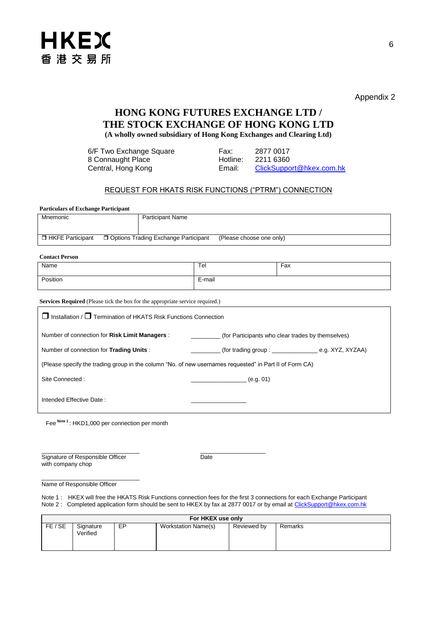

Appendix 2

# **HONG KONG FUTURES EXCHANGE LTD / THE STOCK EXCHANGE OF HONG KONG LTD**

**(A wholly owned subsidiary of Hong Kong Exchanges and Clearing Ltd)**

| 6/F Two Exchange Square | Fax:     | 2877 0017                |
|-------------------------|----------|--------------------------|
| 8 Connaught Place       | Hotline: | 2211 6360                |
| Central, Hong Kong      | Email:   | ClickSupport@hkex.com.hk |

#### REQUEST FOR HKATS RISK FUNCTIONS ("PTRM") CONNECTION

| <b>Particulars of Exchange Participant</b> |  |                                        |                          |  |  |
|--------------------------------------------|--|----------------------------------------|--------------------------|--|--|
| Mnemonic                                   |  | <b>Participant Name</b>                |                          |  |  |
|                                            |  |                                        |                          |  |  |
|                                            |  |                                        |                          |  |  |
| □ HKFE Participant                         |  | □ Options Trading Exchange Participant | (Please choose one only) |  |  |

| <b>Contact Person</b> |        |     |
|-----------------------|--------|-----|
| Name                  | Tel    | Fax |
| Position              | E-mail |     |

**Services Required** (Please tick the box for the appropriate service required.)

| $\Box$ Installation / $\Box$ Termination of HKATS Risk Functions Connection                             |                                                                |  |  |  |
|---------------------------------------------------------------------------------------------------------|----------------------------------------------------------------|--|--|--|
| Number of connection for Risk Limit Managers :                                                          | (for Participants who clear trades by themselves)              |  |  |  |
| Number of connection for Trading Units:                                                                 | $($ for trading group : $\_\_\_\_\_\_\_\_\_\$ e.g. XYZ, XYZAA) |  |  |  |
| (Please specify the trading group in the column "No. of new usernames requested" in Part II of Form CA) |                                                                |  |  |  |
| Site Connected:                                                                                         | (e.g. 01)                                                      |  |  |  |
| Intended Effective Date:                                                                                |                                                                |  |  |  |
| Fee <sup>Note 1</sup> : HKD1,000 per connection per month                                               |                                                                |  |  |  |

\_\_\_\_\_\_\_\_\_\_\_\_\_\_\_\_\_\_\_\_\_\_\_\_\_\_\_\_\_\_ \_\_\_\_\_\_\_\_\_\_\_\_\_\_\_\_\_\_\_\_ Signature of Responsible Officer Date with company chop

\_\_\_\_\_\_\_\_\_\_\_\_\_\_\_\_\_\_\_\_\_\_\_\_\_\_\_\_\_\_ Name of Responsible Officer

Note 1: HKEX will free the HKATS Risk Functions connection fees for the first 3 connections for each Exchange Participant Note 2 : Completed application form should be sent to HKEX by fax at 2877 0017 or by email at [ClickSupport@hkex.com.hk](mailto:ClickSupport@hkex.com.hk)

| For HKEX use only |                       |    |                     |             |         |
|-------------------|-----------------------|----|---------------------|-------------|---------|
| FE / SE           | Signature<br>Verified | EP | Workstation Name(s) | Reviewed by | Remarks |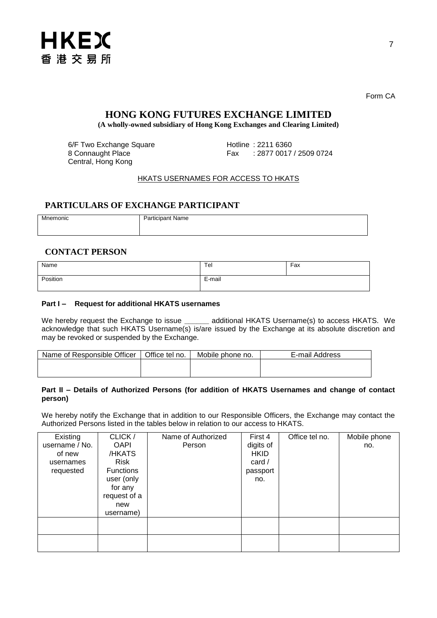

Form CA

# **HONG KONG FUTURES EXCHANGE LIMITED**

**(A wholly-owned subsidiary of Hong Kong Exchanges and Clearing Limited)**

6/F Two Exchange Square<br>
8 Connaught Place<br>
8 Connaught Place<br>
17 Connaught Place<br>
18 Connaught Place<br>
18 Connaught Place<br>
18 Connaught Place Central, Hong Kong

Fax : 2877 0017 / 2509 0724

### HKATS USERNAMES FOR ACCESS TO HKATS

#### **PARTICULARS OF EXCHANGE PARTICIPANT**

| Mnemonic | Participant Name |
|----------|------------------|
|          |                  |
|          |                  |
|          |                  |
|          |                  |

#### **CONTACT PERSON**

| Name     | Tel    | Fax |
|----------|--------|-----|
| Position | E-mail |     |

#### **Part I – Request for additional HKATS usernames**

We hereby request the Exchange to issue **\_\_\_\_\_\_** additional HKATS Username(s) to access HKATS. We acknowledge that such HKATS Username(s) is/are issued by the Exchange at its absolute discretion and may be revoked or suspended by the Exchange.

| Name of Responsible Officer | Office tel no. | Mobile phone no. | E-mail Address |
|-----------------------------|----------------|------------------|----------------|
|                             |                |                  |                |
|                             |                |                  |                |

#### **Part II – Details of Authorized Persons (for addition of HKATS Usernames and change of contact person)**

We hereby notify the Exchange that in addition to our Responsible Officers, the Exchange may contact the Authorized Persons listed in the tables below in relation to our access to HKATS.

| Existing       | CLICK/           | Name of Authorized | First 4     | Office tel no. | Mobile phone |
|----------------|------------------|--------------------|-------------|----------------|--------------|
| username / No. | <b>OAPI</b>      | Person             | digits of   |                | no.          |
| of new         | /HKATS           |                    | <b>HKID</b> |                |              |
| usernames      | <b>Risk</b>      |                    | card $/$    |                |              |
| requested      | <b>Functions</b> |                    | passport    |                |              |
|                | user (only       |                    | no.         |                |              |
|                | for any          |                    |             |                |              |
|                | request of a     |                    |             |                |              |
|                | new              |                    |             |                |              |
|                | username)        |                    |             |                |              |
|                |                  |                    |             |                |              |
|                |                  |                    |             |                |              |
|                |                  |                    |             |                |              |
|                |                  |                    |             |                |              |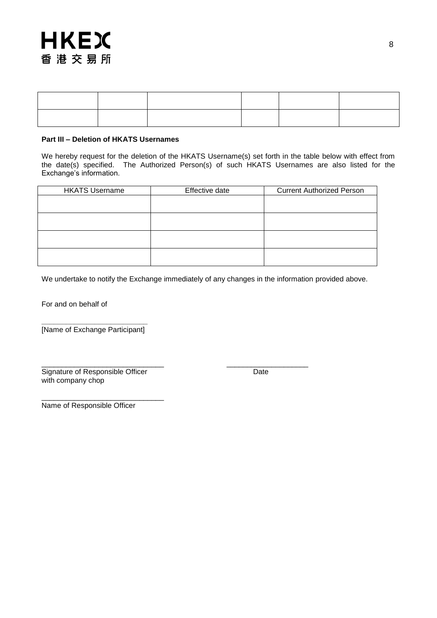#### **Part III – Deletion of HKATS Usernames**

We hereby request for the deletion of the HKATS Username(s) set forth in the table below with effect from the date(s) specified. The Authorized Person(s) of such HKATS Usernames are also listed for the Exchange's information.

| <b>HKATS Username</b> | Effective date | <b>Current Authorized Person</b> |
|-----------------------|----------------|----------------------------------|
|                       |                |                                  |
|                       |                |                                  |
|                       |                |                                  |
|                       |                |                                  |
|                       |                |                                  |
|                       |                |                                  |
|                       |                |                                  |
|                       |                |                                  |

We undertake to notify the Exchange immediately of any changes in the information provided above.

For and on behalf of

**\_\_\_\_\_\_\_\_\_\_\_\_\_\_\_\_\_\_\_\_\_\_\_\_\_\_** [Name of Exchange Participant]

\_\_\_\_\_\_\_\_\_\_\_\_\_\_\_\_\_\_\_\_\_\_\_\_\_\_\_\_\_\_ \_\_\_\_\_\_\_\_\_\_\_\_\_\_\_\_\_\_\_\_ Signature of Responsible Officer **Date** Date with company chop

\_\_\_\_\_\_\_\_\_\_\_\_\_\_\_\_\_\_\_\_\_\_\_\_\_\_\_\_\_\_ Name of Responsible Officer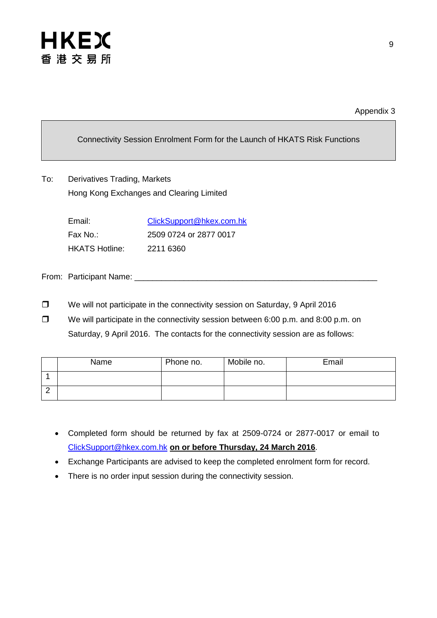

Connectivity Session Enrolment Form for the Launch of HKATS Risk Functions

To: Derivatives Trading, Markets Hong Kong Exchanges and Clearing Limited

| Email:                | ClickSupport@hkex.com.hk |
|-----------------------|--------------------------|
| Fax No∴               | 2509 0724 or 2877 0017   |
| <b>HKATS Hotline:</b> | 2211 6360                |

From: Participant Name: \_\_\_\_

- □ We will not participate in the connectivity session on Saturday, 9 April 2016
- $\Box$  We will participate in the connectivity session between 6:00 p.m. and 8:00 p.m. on Saturday, 9 April 2016. The contacts for the connectivity session are as follows:

|   | Name | Phone no. | Mobile no. | Email |
|---|------|-----------|------------|-------|
|   |      |           |            |       |
| _ |      |           |            |       |

- Completed form should be returned by fax at 2509-0724 or 2877-0017 or email to [ClickSupport@hkex.com.hk](mailto:ClickSupport@hkex.com.hk) **on or before Thursday, 24 March 2016**.
- Exchange Participants are advised to keep the completed enrolment form for record.
- There is no order input session during the connectivity session.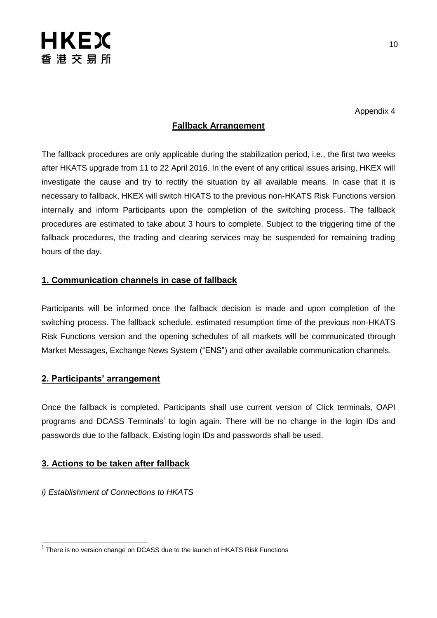

Appendix 4

# **Fallback Arrangement**

The fallback procedures are only applicable during the stabilization period, i.e., the first two weeks after HKATS upgrade from 11 to 22 April 2016. In the event of any critical issues arising, HKEX will investigate the cause and try to rectify the situation by all available means. In case that it is necessary to fallback, HKEX will switch HKATS to the previous non-HKATS Risk Functions version internally and inform Participants upon the completion of the switching process. The fallback procedures are estimated to take about 3 hours to complete. Subject to the triggering time of the fallback procedures, the trading and clearing services may be suspended for remaining trading hours of the day.

# **1. Communication channels in case of fallback**

Participants will be informed once the fallback decision is made and upon completion of the switching process. The fallback schedule, estimated resumption time of the previous non-HKATS Risk Functions version and the opening schedules of all markets will be communicated through Market Messages, Exchange News System ("ENS") and other available communication channels.

## **2. Participants' arrangement**

Once the fallback is completed, Participants shall use current version of Click terminals, OAPI programs and DCASS Terminals<sup>1</sup> to login again. There will be no change in the login IDs and passwords due to the fallback. Existing login IDs and passwords shall be used.

## **3. Actions to be taken after fallback**

*i) Establishment of Connections to HKATS*

 1 There is no version change on DCASS due to the launch of HKATS Risk Functions